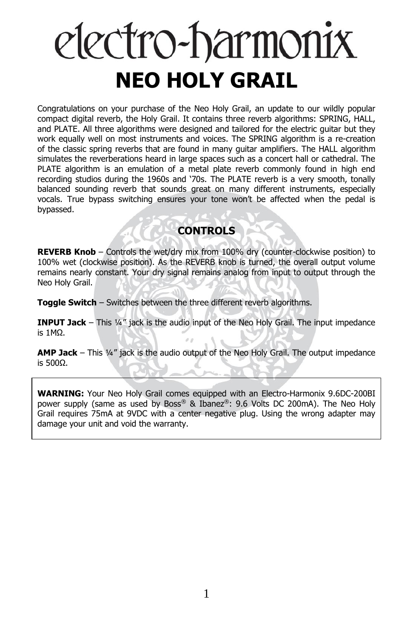# electro-harmonix **NEO HOLY GRAIL**

Congratulations on your purchase of the Neo Holy Grail, an update to our wildly popular compact digital reverb, the Holy Grail. It contains three reverb algorithms: SPRING, HALL, and PLATE. All three algorithms were designed and tailored for the electric guitar but they work equally well on most instruments and voices. The SPRING algorithm is a re-creation of the classic spring reverbs that are found in many guitar amplifiers. The HALL algorithm simulates the reverberations heard in large spaces such as a concert hall or cathedral. The PLATE algorithm is an emulation of a metal plate reverb commonly found in high end recording studios during the 1960s and '70s. The PLATE reverb is a very smooth, tonally balanced sounding reverb that sounds great on many different instruments, especially vocals. True bypass switching ensures your tone won't be affected when the pedal is bypassed.

# **CONTROLS**

**REVERB Knob** – Controls the wet/dry mix from 100% dry (counter-clockwise position) to 100% wet (clockwise position). As the REVERB knob is turned, the overall output volume remains nearly constant. Your dry signal remains analog from input to output through the Neo Holy Grail.

**Toggle Switch** – Switches between the three different reverb algorithms.

**INPUT Jack** – This ¼" jack is the audio input of the Neo Holy Grail. The input impedance is 1MΩ.

**AMP Jack** – This ¼" jack is the audio output of the Neo Holy Grail. The output impedance is 500Ω.

**WARNING:** Your Neo Holy Grail comes equipped with an Electro-Harmonix 9.6DC-200BI power supply (same as used by Boss® & Ibanez®: 9.6 Volts DC 200mA). The Neo Holy Grail requires 75mA at 9VDC with a center negative plug. Using the wrong adapter may damage your unit and void the warranty.